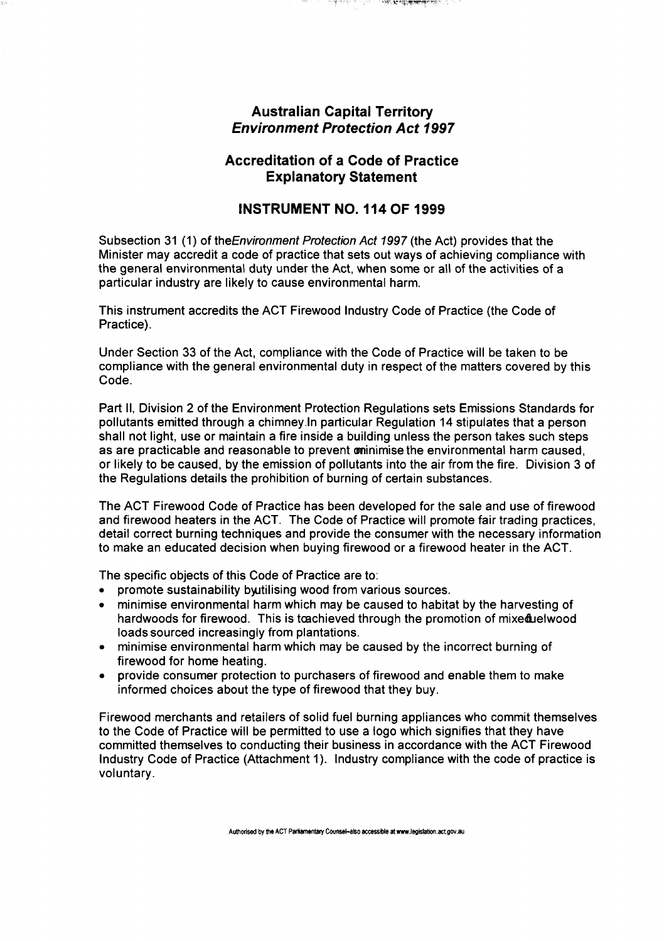## **Australian Capital Territory Environment Protection Act 1997**

## **Accreditation of a Code of Practice Explanatory Statement**

## **INSTRUMENT NO. 114 OF 1999**

Subsection 31 (1) of the Environment Protection Act 1997 (the Act) provides that the Minister may accredit a code of practice that sets out ways of achieving compliance with the general environmental duty under the Act, when some or all of the activities of a particular industry are likely to cause environmental harm.

This instrument accredits the ACT Firewood Industry Code of Practice (the Code of Practice).

Under Section 33 of the Act, compliance with the Code of Practice will be taken to be compliance with the general environmental duty in respect of the matters covered by this Code.

Part II, Division 2 of the Environment Protection Regulations sets Emissions Standards for pollutants emitted through a chimney.ln particular Regulation 14 stipulates that a person shall not light, use or maintain a fire inside a building unless the person takes such steps as are practicable and reasonable to prevent ominimise the environmental harm caused, or likely to be caused, by the emission of pollutants into the air from the fire. Division 3 of the Regulations details the prohibition of burning of certain substances.

The ACT Firewood Code of Practice has been developed for the sale and use of firewood and firewood heaters in the ACT. The Code of Practice will promote fair trading practices, detail correct burning techniques and provide the consumer with the necessary information to make an educated decision when buying firewood or a firewood heater in the ACT.

The specific objects of this Code of Practice are to:

- promote sustainability buitilising wood from various sources.
- minimise environmental harm which may be caused to habitat by the harvesting of hardwoods for firewood. This is tcachieved through the promotion of mixeduelwood loads sourced increasingly from plantations.
- minimise environmental harm which may be caused by the incorrect burning of firewood for home heating.
- provide consumer protection to purchasers of firewood and enable them to make informed choices about the type of firewood that they buy.

Firewood merchants and retailers of solid fuel burning appliances who commit themselves to the Code of Practice will be permitted to use a logo which signifies that they have committed themselves to conducting their business in accordance with the ACT Firewood Industry Code of Practice (Attachment 1). Industry compliance with the code of practice is voluntary.